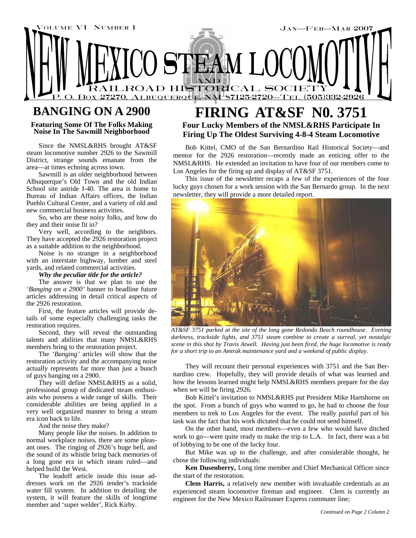

## **BANGING ON A 2900**

**Featuring Some Of The Folks Making Noise In The Sawmill Neighborhood** 

Since the NMSL&RHS brought AT&SF steam locomotive number 2926 to the Sawmill District, strange sounds emanate from the area—at times echoing across town.

Sawmill is an older neighborhood between Albuquerque's Old Town and the old Indian School site astride I-40. The area is home to Bureau of Indian Affairs offices, the Indian Pueblo Cultural Center, and a variety of old and new commercial business activities.

So, who are these noisy folks, and how do they and their noise fit in?

Very well, according to the neighbors. They have accepted the 2926 restoration project as a suitable addition to the neighborhood.

Noise is no stranger in a neighborhood with an interstate highway, lumber and steel yards, and related commercial activities.

#### *Why the peculiar title for the article?*

The answer is that we plan to use the *'Banging on a 2900'* banner to headline future articles addressing in detail critical aspects of the 2926 restoration.

First, the feature articles will provide details of some especially challenging tasks the restoration requires.

Second, they will reveal the outstanding talents and abilities that many NMSL&RHS members bring to the restoration project.

The *'Banging'* articles will show that the restoration activity and the accompanying noise actually represents far more than just a bunch of guys banging on a 2900.

They will define NMSL&RHS as a solid, professional group of dedicated steam enthusiasts who possess a wide range of skills. Their considerable abilities are being applied in a very well organized manner to bring a steam era icon back to life.

And the noise they make?

Many people like the noises. In addition to normal workplace noises, there are some pleasant ones. The ringing of 2926's huge bell, and the sound of its whistle bring back memories of a long gone era in which steam ruled—and helped build the West.

The leadoff article inside this issue addresses work on the 2926 tender's trackside water fill system. In addition to detailing the system, it will feature the skills of longtime member and 'super welder', Rick Kirby.

### **FIRING AT&SF N0. 3751 Four Lucky Members of the NMSL&RHS Participate In Firing Up The Oldest Surviving 4-8-4 Steam Locomotive**

Bob Kittel, CMO of the San Bernardino Rail Historical Society—and mentor for the 2926 restoration—recently made an enticing offer to the NMSL&RHS. He extended an invitation to have four of our members come to Los Angeles for the firing up and display of AT&SF 3751.

This issue of the newsletter recaps a few of the experiences of the four lucky guys chosen for a work session with the San Bernardo group. In the next newsletter, they will provide a more detailed report.



*AT&SF 3751 parked at the site of the long gone Redondo Beach roundhouse. Evening darkness, trackside lights, and 3751 steam combine to create a surreal, yet nostalgic scene in this shot by Travis Atwell. Having just been fired, the huge locomotive is ready for a short trip to an Amtrak maintenance yard and a weekend of public display.* 

They will recount their personal experiences with 3751 and the San Bernardino crew. Hopefully, they will provide details of what was learned and how the lessons learned might help NMSL&RHS members prepare for the day when we will be firing 2926.

Bob Kittel's invitation to NMSL&RHS put President Mike Hartshorne on the spot. From a bunch of guys who wanted to go, he had to choose the four members to trek to Los Angeles for the event. The really painful part of his task was the fact that his work dictated that he could not send himself.

On the other hand, most members—even a few who would have ditched work to go—were quite ready to make the trip to L.A. In fact, there was a bit of lobbying to be one of the lucky four.

But Mike was up to the challenge, and after considerable thought, he chose the following individuals:

**Ken Dusenberry,** Long time member and Chief Mechanical Officer since the start of the restoration.

**Clem Harris,** a relatively new member with invaluable credentials as an experienced steam locomotive fireman and engineer. Clem is currently an engineer for the New Mexico Railrunner Express commuter line;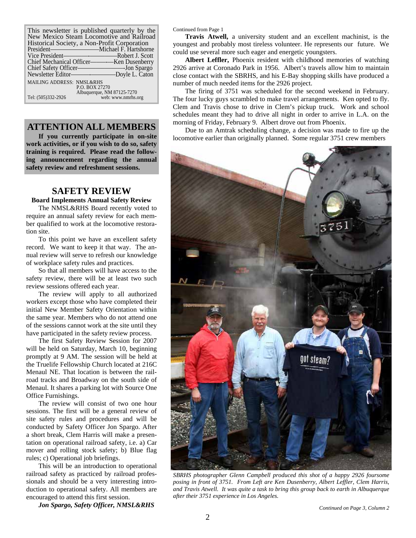| This newsletter is published quarterly by the<br>New Mexico Steam Locomotive and Railroad |                                                  |
|-------------------------------------------------------------------------------------------|--------------------------------------------------|
| Historical Society, a Non-Profit Corporation                                              |                                                  |
|                                                                                           |                                                  |
|                                                                                           |                                                  |
|                                                                                           |                                                  |
|                                                                                           |                                                  |
|                                                                                           | Newsletter Editor-Boyle L. Caton                 |
| <b>MAILING ADDRESS: NMSL&amp;RHS</b>                                                      | P.O. BOX 27270                                   |
| Tel: (505)332-2926                                                                        | Albuquerque, NM 87125-7270<br>web: www.nmrhs.org |

#### **ATTENTION ALL MEMBERS**

**If you currently participate in on-site work activities, or if you wish to do so, safety training is required. Please read the following announcement regarding the annual safety review and refreshment sessions.** 

#### **SAFETY REVIEW**

**Board Implements Annual Safety Review** 

The NMSL&RHS Board recently voted to require an annual safety review for each member qualified to work at the locomotive restoration site.

To this point we have an excellent safety record. We want to keep it that way. The annual review will serve to refresh our knowledge of workplace safety rules and practices.

So that all members will have access to the safety review, there will be at least two such review sessions offered each year.

The review will apply to all authorized workers except those who have completed their initial New Member Safety Orientation within the same year. Members who do not attend one of the sessions cannot work at the site until they have participated in the safety review process.

The first Safety Review Session for 2007 will be held on Saturday, March 10, beginning promptly at 9 AM. The session will be held at the Truelife Fellowship Church located at 216C Menaul NE. That location is between the railroad tracks and Broadway on the south side of Menaul. It shares a parking lot with Source One Office Furnishings.

The review will consist of two one hour sessions. The first will be a general review of site safety rules and procedures and will be conducted by Safety Officer Jon Spargo. After a short break, Clem Harris will make a presentation on operational railroad safety, i.e. a) Car mover and rolling stock safety; b) Blue flag rules; c) Operational job briefings.

This will be an introduction to operational railroad safety as practiced by railroad professionals and should be a very interesting introduction to operational safety. All members are encouraged to attend this first session.

*Jon Spargo, Safety Officer, NMSL&RHS* 

Continued from Page 1

**Travis Atwell,** a university student and an excellent machinist, is the youngest and probably most tireless volunteer. He represents our future. We could use several more such eager and energetic youngsters.

**Albert Leffler,** Phoenix resident with childhood memories of watching 2926 arrive at Coronado Park in 1956. Albert's travels allow him to maintain close contact with the SBRHS, and his E-Bay shopping skills have produced a number of much needed items for the 2926 project.

The firing of 3751 was scheduled for the second weekend in February. The four lucky guys scrambled to make travel arrangements. Ken opted to fly. Clem and Travis chose to drive in Clem's pickup truck. Work and school schedules meant they had to drive all night in order to arrive in L.A. on the morning of Friday, February 9. Albert drove out from Phoenix.

Due to an Amtrak scheduling change, a decision was made to fire up the locomotive earlier than originally planned. Some regular 3751 crew members



*SBRHS photographer Glenn Campbell produced this shot of a happy 2926 foursome posing in front of 3751. From Left are Ken Dusenberry, Albert Leffler, Clem Harris, and Travis Atwell. It was quite a task to bring this group back to earth in Albuquerque after their 3751 experience in Los Angeles.*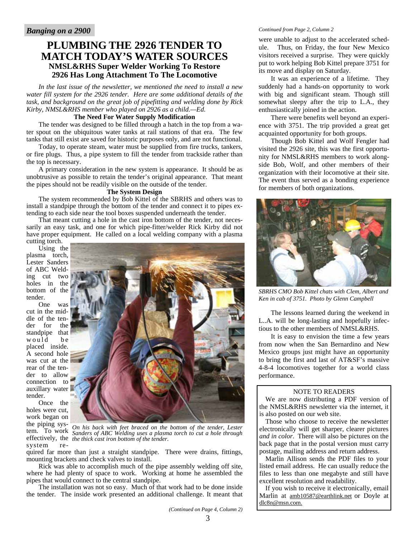#### **PLUMBING THE 2926 TENDER TO MATCH TODAY'S WATER SOURCES NMSL&RHS Super Welder Working To Restore 2926 Has Long Attachment To The Locomotive**

*In the last issue of the newsletter, we mentioned the need to install a new water fill system for the 2926 tender. Here are some additional details of the task, and background on the great job of pipefitting and welding done by Rick Kirby, NMSL&RHS member who played on 2926 as a child.—Ed.* 

#### **The Need For Water Supply Modification**

The tender was designed to be filled through a hatch in the top from a water spout on the ubiquitous water tanks at rail stations of that era. The few tanks that still exist are saved for historic purposes only, and are not functional.

Today, to operate steam, water must be supplied from fire trucks, tankers, or fire plugs. Thus, a pipe system to fill the tender from trackside rather than the top is necessary.

A primary consideration in the new system is appearance. It should be as unobtrusive as possible to retain the tender's original appearance. That meant the pipes should not be readily visible on the outside of the tender.

#### **The System Design**

The system recommended by Bob Kittel of the SBRHS and others was to install a standpipe through the bottom of the tender and connect it to pipes extending to each side near the tool boxes suspended underneath the tender.

That meant cutting a hole in the cast iron bottom of the tender, not necessarily an easy task, and one for which pipe-fitter/welder Rick Kirby did not have proper equipment. He called on a local welding company with a plasma cutting torch.

Using the plasma torch, Lester Sanders of ABC Welding cut two holes in the bottom of the tender.

One was cut in the middle of the tender for the standpipe that would be placed inside. A second hole was cut at the rear of the tender to allow connection to auxillary water tender.

Once the holes were cut, work began on the piping syssystem re-



Inc<sup>red</sup> piping *sys<sup>2</sup>* On his back with feet braced on the bottom of the tender, Lester **tem.** To work *Sanders of ABC Welding uses a plasma torch to cut a hole through* effectively, the *the thick cast iron bottom of the tender. Sanders of ABC Welding uses a plasma torch to cut a hole through* 

quired far more than just a straight standpipe. There were drains, fittings, mounting brackets and check valves to install.

Rick was able to accomplish much of the pipe assembly welding off site, where he had plenty of space to work. Working at home he assembled the pipes that would connect to the central standpipe.

The installation was not so easy. Much of that work had to be done inside the tender. The inside work presented an additional challenge. It meant that

*Continued from Page 2, Column 2* 

were unable to adjust to the accelerated schedule. Thus, on Friday, the four New Mexico visitors received a surprise. They were quickly put to work helping Bob Kittel prepare 3751 for its move and display on Saturday.

It was an experience of a lifetime. They suddenly had a hands-on opportunity to work with big and significant steam. Though still somewhat sleepy after the trip to L.A., they enthusiastically joined in the action.

There were benefits well beyond an experience with 3751. The trip provided a great get acquainted opportunity for both groups.

Though Bob Kittel and Wolf Fengler had visited the 2926 site, this was the first opportunity for NMSL&RHS members to work alongside Bob, Wolf, and other members of their organization with their locomotive at their site. The event thus served as a bonding experience for members of both organizations.



*SBRHS CMO Bob Kittel chats with Clem, Albert and Ken in cab of 3751. Photo by Glenn Campbell* 

The lessons learned during the weekend in L..A. will be long-lasting and hopefully infectious to the other members of NMSL&RHS.

It is easy to envision the time a few years from now when the San Bernardino and New Mexico groups just might have an opportunity to bring the first and last of AT&SF's massive 4-8-4 locomotives together for a world class performance.

#### NOTE TO READERS

We are now distributing a PDF version of the NMSL&RHS newsletter via the internet, it is also posted on our web site.

Those who choose to receive the newsletter electronically will get sharper, clearer pictures *and in color*. There will also be pictures on the back page that in the postal version must carry postage, mailing address and return address.

Marlin Allison sends the PDF files to your listed email address. He can usually reduce the files to less than one megabyte and still have excellent resolution and readability.

If you wish to receive it electronically, email Marlin at amb10587@earthlink.net or Doyle at dlc8n@msn.com.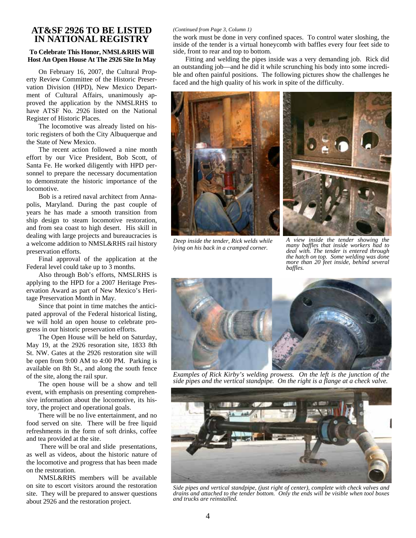#### **AT&SF 2926 TO BE LISTED IN NATIONAL REGISTRY**

#### **To Celebrate This Honor, NMSL&RHS Will Host An Open House At The 2926 Site In May**

On February 16, 2007, the Cultural Property Review Committee of the Historic Preservation Division (HPD), New Mexico Department of Cultural Affairs, unanimously approved the application by the NMSLRHS to have ATSF No. 2926 listed on the National Register of Historic Places.

The locomotive was already listed on historic registers of both the City Albuquerque and the State of New Mexico.

The recent action followed a nine month effort by our Vice President, Bob Scott, of Santa Fe. He worked diligently with HPD personnel to prepare the necessary documentation to demonstrate the historic importance of the locomotive.

Bob is a retired naval architect from Annapolis, Maryland. During the past couple of years he has made a smooth transition from ship design to steam locomotive restoration, and from sea coast to high desert. His skill in dealing with large projects and bureaucracies is a welcome addition to NMSL&RHS rail history preservation efforts.

Final approval of the application at the Federal level could take up to 3 months.

Also through Bob's efforts, NMSLRHS is applying to the HPD for a 2007 Heritage Preservation Award as part of New Mexico's Heritage Preservation Month in May.

Since that point in time matches the anticipated approval of the Federal historical listing, we will hold an open house to celebrate progress in our historic preservation efforts.

The Open House will be held on Saturday, May 19, at the 2926 resoration site, 1833 8th St. NW. Gates at the 2926 restoration site will be open from 9:00 AM to 4:00 PM. Parking is available on 8th St., and along the south fence of the site, along the rail spur.

The open house will be a show and tell event, with emphasis on presenting comprehensive information about the locomotive, its history, the project and operational goals.

There will be no live entertainment, and no food served on site. There will be free liquid refreshments in the form of soft drinks, coffee and tea provided at the site.

 There will be oral and slide presentations, as well as videos, about the historic nature of the locomotive and progress that has been made on the restoration.

NMSL&RHS members will be available on site to escort visitors around the restoration site. They will be prepared to answer questions about 2926 and the restoration project.

#### *(Continued from Page 3, Column 1)*

the work must be done in very confined spaces. To control water sloshing, the inside of the tender is a virtual honeycomb with baffles every four feet side to side, front to rear and top to bottom.

Fitting and welding the pipes inside was a very demanding job. Rick did an outstanding job—and he did it while scrunching his body into some incredible and often painful positions. The following pictures show the challenges he faced and the high quality of his work in spite of the difficulty.



*Deep inside the tender, Rick welds while lying on his back in a cramped corner.* 



*A view inside the tender showing the many baffles that inside workers had to deal with. The tender is entered through the hatch on top. Some welding was done more than 20 feet inside, behind several baffles.* 



*Examples of Rick Kirby's welding prowess. On the left is the junction of the side pipes and the vertical standpipe. On the right is a flange at a check valve.* 



*Side pipes and vertical standpipe, (just right of center), complete with check valves and drains and attached to the tender bottom. Only the ends will be visible when tool boxes and trucks are reinstalled.*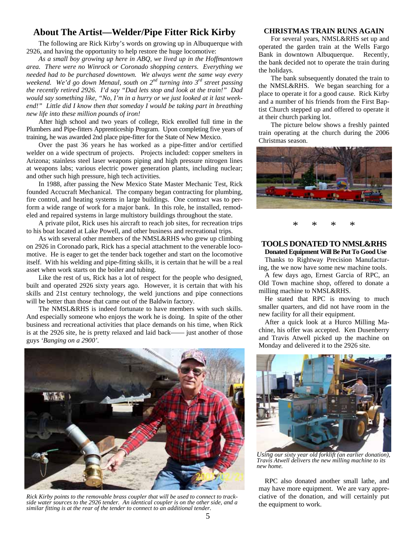#### **About The Artist—Welder/Pipe Fitter Rick Kirby**

The following are Rick Kirby's words on growing up in Albuquerque with 2926, and having the opportunity to help restore the huge locomotive:

*As a small boy growing up here in ABQ, we lived up in the Hoffmantown area. There were no Winrock or Coronado shopping centers. Everything we needed had to be purchased downtown. We always went the same way every weekend. We'd go down Menaul, south on 2nd turning into 3rd street passing the recently retired 2926. I'd say "Dad lets stop and look at the train!" Dad would say something like, "No, I'm in a hurry or we just looked at it last weekend!" Little did I know then that someday I would be taking part in breathing new life into these million pounds of iron!* 

After high school and two years of college, Rick enrolled full time in the Plumbers and Pipe-fitters Apprenticeship Program. Upon completing five years of training, he was awarded 2nd place pipe-fitter for the State of New Mexico.

Over the past 36 years he has worked as a pipe-fitter and/or certified welder on a wide spectrum of projects. Projects included: copper smelters in Arizona; stainless steel laser weapons piping and high pressure nitrogen lines at weapons labs; various electric power generation plants, including nuclear; and other such high pressure, high tech activities.

In 1988, after passing the New Mexico State Master Mechanic Test, Rick founded Accucraft Mechanical. The company began contracting for plumbing, fire control, and heating systems in large buildings. One contract was to perform a wide range of work for a major bank. In this role, he installed, remodeled and repaired systems in large multistory buildings throughout the state.

A private pilot, Rick uses his aircraft to reach job sites, for recreation trips to his boat located at Lake Powell, and other business and recreational trips.

As with several other members of the NMSL&RHS who grew up climbing on 2926 in Coronado park, Rick has a special attachment to the venerable locomotive. He is eager to get the tender back together and start on the locomotive itself. With his welding and pipe-fitting skills, it is certain that he will be a real asset when work starts on the boiler and tubing.

Like the rest of us, Rick has a lot of respect for the people who designed, built and operated 2926 sixty years ago. However, it is certain that with his skills and 21st century technology, the weld junctions and pipe connections will be better than those that came out of the Baldwin factory.

The NMSL&RHS is indeed fortunate to have members with such skills. And especially someone who enjoys the work he is doing. In spite of the other business and recreational activities that place demands on his time, when Rick is at the 2926 site, he is pretty relaxed and laid back—— just another of those guys *'Banging on a 2900'.* 



*Rick Kirby points to the removable brass coupler that will be used to connect to trackside water sources to the 2926 tender. An identical coupler is on the other side, and a similar fitting is at the rear of the tender to connect to an additional tender.* 

#### **CHRISTMAS TRAIN RUNS AGAIN**

For several years, NMSL&RHS set up and operated the garden train at the Wells Fargo Bank in downtown Albuquerque. Recently, the bank decided not to operate the train during the holidays.

The bank subsequently donated the train to the NMSL&RHS. We began searching for a place to operate it for a good cause. Rick Kirby and a number of his friends from the First Baptist Church stepped up and offered to operate it at their church parking lot.

The picture below shows a freshly painted train operating at the church during the 2006 Christmas season.



\* \* \* \*

#### **TOOLS DONATED TO NMSL&RHS Donated Equipment Will Be Put To Good Use**

Thanks to Rightway Precision Manufacturing, the we now have some new machine tools.

A few days ago, Ernest Garcia of RPC, an Old Town machine shop, offered to donate a milling machine to NMSL&RHS.

He stated that RPC is moving to much smaller quarters, and did not have room in the new facility for all their equipment.

After a quick look at a Hurco Milling Machine, his offer was accepted. Ken Dusenberry and Travis Atwell picked up the machine on Monday and delivered it to the 2926 site.



*Using our sixty year old forklift (an earlier donation), Travis Atwell delivers the new milling machine to its new home.* 

RPC also donated another small lathe, and may have more equipment. We are vary appreciative of the donation, and will certainly put the equipment to work.